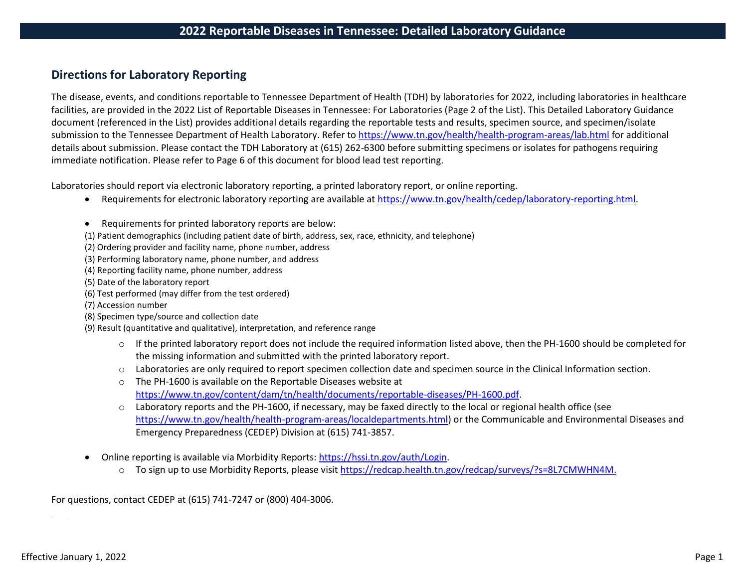## **Directions for Laboratory Reporting**

The disease, events, and conditions reportable to Tennessee Department of Health (TDH) by laboratories for 2022, including laboratories in healthcare facilities, are provided in the 2022 List of Reportable Diseases in Tennessee: For Laboratories (Page 2 of the List). This Detailed Laboratory Guidance document (referenced in the List) provides additional details regarding the reportable tests and results, specimen source, and specimen/isolate submission to the Tennessee Department of Health Laboratory. Refer to <https://www.tn.gov/health/health-program-areas/lab.html> for additional details about submission. Please contact the TDH Laboratory at (615) 262-6300 before submitting specimens or isolates for pathogens requiring immediate notification. Please refer to Page 6 of this document for blood lead test reporting.

Laboratories should report via electronic laboratory reporting, a printed laboratory report, or online reporting.

- Requirements for electronic laboratory reporting are available at [https://www.tn.gov/health/cedep/laboratory-reporting.html.](https://www.tn.gov/health/cedep/laboratory-reporting.html)
- Requirements for printed laboratory reports are below:
- (1) Patient demographics (including patient date of birth, address, sex, race, ethnicity, and telephone)
- (2) Ordering provider and facility name, phone number, address
- (3) Performing laboratory name, phone number, and address
- (4) Reporting facility name, phone number, address
- (5) Date of the laboratory report
- (6) Test performed (may differ from the test ordered)
- (7) Accession number
- (8) Specimen type/source and collection date
- (9) Result (quantitative and qualitative), interpretation, and reference range
	- $\circ$  If the printed laboratory report does not include the required information listed above, then the PH-1600 should be completed for the missing information and submitted with the printed laboratory report.
	- o Laboratories are only required to report specimen collection date and specimen source in the Clinical Information section.
	- o The PH-1600 is available on the Reportable Diseases website at [https://www.tn.gov/content/dam/tn/health/documents/reportable-diseases/PH-1600.pdf.](https://www.tn.gov/content/dam/tn/health/documents/reportable-diseases/PH-1600.pdf)
	- $\circ$  Laboratory reports and the PH-1600, if necessary, may be faxed directly to the local or regional health office (see [https://www.tn.gov/health/health-program-areas/localdepartments.html\)](https://www.tn.gov/health/health-program-areas/localdepartments.html) or the Communicable and Environmental Diseases and Emergency Preparedness (CEDEP) Division at (615) 741-3857.
- Online reporting is available via Morbidity Reports: [https://hssi.tn.gov/auth/Login.](https://hssi.tn.gov/auth/Login)
	- o To sign up to use Morbidity Reports, please visit [https://redcap.health.tn.gov/redcap/surveys/?s=8L7CMWHN4M.](https://redcap.health.tn.gov/redcap/surveys/?s=8L7CMWHN4M)

For questions, contact CEDEP at (615) 741-7247 or (800) 404-3006.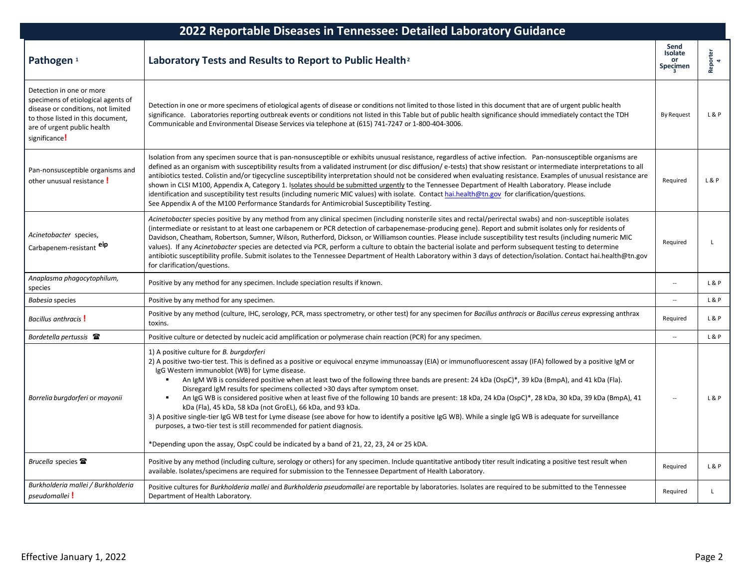| 2022 Reportable Diseases in Tennessee: Detailed Laboratory Guidance                                                                                                                       |                                                                                                                                                                                                                                                                                                                                                                                                                                                                                                                                                                                                                                                                                                                                                                                                                                                                                                                                                                                                                                                                           |                                          |                                      |  |
|-------------------------------------------------------------------------------------------------------------------------------------------------------------------------------------------|---------------------------------------------------------------------------------------------------------------------------------------------------------------------------------------------------------------------------------------------------------------------------------------------------------------------------------------------------------------------------------------------------------------------------------------------------------------------------------------------------------------------------------------------------------------------------------------------------------------------------------------------------------------------------------------------------------------------------------------------------------------------------------------------------------------------------------------------------------------------------------------------------------------------------------------------------------------------------------------------------------------------------------------------------------------------------|------------------------------------------|--------------------------------------|--|
| Pathogen <sup>1</sup>                                                                                                                                                                     | Laboratory Tests and Results to Report to Public Health <sup>2</sup>                                                                                                                                                                                                                                                                                                                                                                                                                                                                                                                                                                                                                                                                                                                                                                                                                                                                                                                                                                                                      | Send<br><b>Isolate</b><br>or<br>Specimen | Reporter<br>$\overline{\phantom{a}}$ |  |
| Detection in one or more<br>specimens of etiological agents of<br>disease or conditions, not limited<br>to those listed in this document,<br>are of urgent public health<br>significance! | Detection in one or more specimens of etiological agents of disease or conditions not limited to those listed in this document that are of urgent public health<br>significance. Laboratories reporting outbreak events or conditions not listed in this Table but of public health significance should immediately contact the TDH<br>Communicable and Environmental Disease Services via telephone at (615) 741-7247 or 1-800-404-3006.                                                                                                                                                                                                                                                                                                                                                                                                                                                                                                                                                                                                                                 | <b>By Request</b>                        | L&P                                  |  |
| Pan-nonsusceptible organisms and<br>other unusual resistance !                                                                                                                            | Isolation from any specimen source that is pan-nonsusceptible or exhibits unusual resistance, regardless of active infection. Pan-nonsusceptible organisms are<br>defined as an organism with susceptibility results from a validated instrument (or disc diffusion/e-tests) that show resistant or intermediate interpretations to all<br>antibiotics tested. Colistin and/or tigecycline susceptibility interpretation should not be considered when evaluating resistance. Examples of unusual resistance are<br>shown in CLSI M100, Appendix A, Category 1. Isolates should be submitted urgently to the Tennessee Department of Health Laboratory. Please include<br>identification and susceptibility test results (including numeric MIC values) with isolate. Contact hai.health@tn.gov for clarification/questions.<br>See Appendix A of the M100 Performance Standards for Antimicrobial Susceptibility Testing.                                                                                                                                                | Required                                 | <b>L&amp;P</b>                       |  |
| Acinetobacter species,<br>Carbapenem-resistant eip                                                                                                                                        | Acinetobacter species positive by any method from any clinical specimen (including nonsterile sites and rectal/perirectal swabs) and non-susceptible isolates<br>(intermediate or resistant to at least one carbapenem or PCR detection of carbapenemase-producing gene). Report and submit isolates only for residents of<br>Davidson, Cheatham, Robertson, Sumner, Wilson, Rutherford, Dickson, or Williamson counties. Please include susceptibility test results (including numeric MIC<br>values). If any Acinetobacter species are detected via PCR, perform a culture to obtain the bacterial isolate and perform subsequent testing to determine<br>antibiotic susceptibility profile. Submit isolates to the Tennessee Department of Health Laboratory within 3 days of detection/isolation. Contact hai.health@tn.gov<br>for clarification/questions.                                                                                                                                                                                                           | Required                                 | L                                    |  |
| Anaplasma phagocytophilum,<br>species                                                                                                                                                     | Positive by any method for any specimen. Include speciation results if known.                                                                                                                                                                                                                                                                                                                                                                                                                                                                                                                                                                                                                                                                                                                                                                                                                                                                                                                                                                                             | $\overline{a}$                           | L & P                                |  |
| Babesia species                                                                                                                                                                           | Positive by any method for any specimen.                                                                                                                                                                                                                                                                                                                                                                                                                                                                                                                                                                                                                                                                                                                                                                                                                                                                                                                                                                                                                                  | $\overline{a}$                           | L & P                                |  |
| Bacillus anthracis!                                                                                                                                                                       | Positive by any method (culture, IHC, serology, PCR, mass spectrometry, or other test) for any specimen for Bacillus anthracis or Bacillus cereus expressing anthrax<br>toxins.                                                                                                                                                                                                                                                                                                                                                                                                                                                                                                                                                                                                                                                                                                                                                                                                                                                                                           | Required                                 | L&P                                  |  |
| Bordetella pertussis <b>雷</b>                                                                                                                                                             | Positive culture or detected by nucleic acid amplification or polymerase chain reaction (PCR) for any specimen.                                                                                                                                                                                                                                                                                                                                                                                                                                                                                                                                                                                                                                                                                                                                                                                                                                                                                                                                                           | $\overline{a}$                           | L & P                                |  |
| Borrelia burgdorferi or mayonii                                                                                                                                                           | 1) A positive culture for <i>B. burgdorferi</i><br>2) A positive two-tier test. This is defined as a positive or equivocal enzyme immunoassay (EIA) or immunofluorescent assay (IFA) followed by a positive IgM or<br>IgG Western immunoblot (WB) for Lyme disease.<br>An IgM WB is considered positive when at least two of the following three bands are present: 24 kDa (OspC)*, 39 kDa (BmpA), and 41 kDa (Fla).<br>٠<br>Disregard IgM results for specimens collected >30 days after symptom onset.<br>An IgG WB is considered positive when at least five of the following 10 bands are present: 18 kDa, 24 kDa (OspC)*, 28 kDa, 30 kDa, 39 kDa (BmpA), 41<br>٠<br>kDa (Fla), 45 kDa, 58 kDa (not GroEL), 66 kDa, and 93 kDa.<br>3) A positive single-tier IgG WB test for Lyme disease (see above for how to identify a positive IgG WB). While a single IgG WB is adequate for surveillance<br>purposes, a two-tier test is still recommended for patient diagnosis.<br>*Depending upon the assay, OspC could be indicated by a band of 21, 22, 23, 24 or 25 kDA. |                                          | L&P                                  |  |
| Brucella species <sup>全</sup>                                                                                                                                                             | Positive by any method (including culture, serology or others) for any specimen. Include quantitative antibody titer result indicating a positive test result when<br>available. Isolates/specimens are required for submission to the Tennessee Department of Health Laboratory.                                                                                                                                                                                                                                                                                                                                                                                                                                                                                                                                                                                                                                                                                                                                                                                         | Required                                 | L&P                                  |  |
| Burkholderia mallei / Burkholderia<br>pseudomallei!                                                                                                                                       | Positive cultures for Burkholderia mallei and Burkholderia pseudomallei are reportable by laboratories. Isolates are required to be submitted to the Tennessee<br>Department of Health Laboratory.                                                                                                                                                                                                                                                                                                                                                                                                                                                                                                                                                                                                                                                                                                                                                                                                                                                                        | Required                                 | L                                    |  |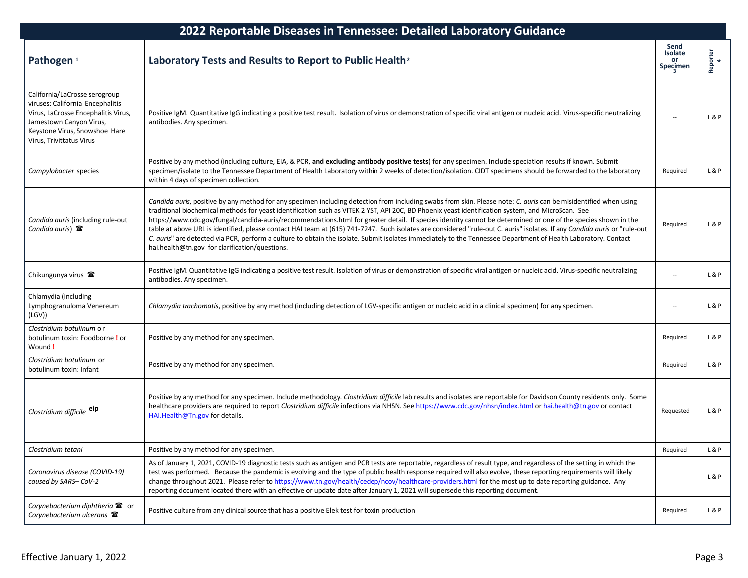| 2022 Reportable Diseases in Tennessee: Detailed Laboratory Guidance                                                                                                                              |                                                                                                                                                                                                                                                                                                                                                                                                                                                                                                                                                                                                                                                                                                                                                                                                                                                                                         |                                   |               |  |
|--------------------------------------------------------------------------------------------------------------------------------------------------------------------------------------------------|-----------------------------------------------------------------------------------------------------------------------------------------------------------------------------------------------------------------------------------------------------------------------------------------------------------------------------------------------------------------------------------------------------------------------------------------------------------------------------------------------------------------------------------------------------------------------------------------------------------------------------------------------------------------------------------------------------------------------------------------------------------------------------------------------------------------------------------------------------------------------------------------|-----------------------------------|---------------|--|
| Pathogen <sup>1</sup>                                                                                                                                                                            | Laboratory Tests and Results to Report to Public Health <sup>2</sup>                                                                                                                                                                                                                                                                                                                                                                                                                                                                                                                                                                                                                                                                                                                                                                                                                    | Send<br>Isolate<br>or<br>Specimen | Reporter<br>4 |  |
| California/LaCrosse serogroup<br>viruses: California Encephalitis<br>Virus, LaCrosse Encephalitis Virus,<br>Jamestown Canyon Virus,<br>Keystone Virus, Snowshoe Hare<br>Virus, Trivittatus Virus | Positive IgM. Quantitative IgG indicating a positive test result. Isolation of virus or demonstration of specific viral antigen or nucleic acid. Virus-specific neutralizing<br>antibodies. Any specimen.                                                                                                                                                                                                                                                                                                                                                                                                                                                                                                                                                                                                                                                                               |                                   | L&P           |  |
| Campylobacter species                                                                                                                                                                            | Positive by any method (including culture, EIA, & PCR, and excluding antibody positive tests) for any specimen. Include speciation results if known. Submit<br>specimen/isolate to the Tennessee Department of Health Laboratory within 2 weeks of detection/isolation. CIDT specimens should be forwarded to the laboratory<br>within 4 days of specimen collection.                                                                                                                                                                                                                                                                                                                                                                                                                                                                                                                   | Required                          | L&P           |  |
| Candida auris (including rule-out<br>Candida auris) $\mathbf{\mathcal{F}}$                                                                                                                       | Candida auris, positive by any method for any specimen including detection from including swabs from skin. Please note: C. auris can be misidentified when using<br>traditional biochemical methods for yeast identification such as VITEK 2 YST, API 20C, BD Phoenix yeast identification system, and MicroScan. See<br>https://www.cdc.gov/fungal/candida-auris/recommendations.html for greater detail. If species identity cannot be determined or one of the species shown in the<br>table at above URL is identified, please contact HAI team at (615) 741-7247. Such isolates are considered "rule-out C. auris" isolates. If any Candida auris or "rule-out<br>C. auris" are detected via PCR, perform a culture to obtain the isolate. Submit isolates immediately to the Tennessee Department of Health Laboratory. Contact<br>hai.health@tn.gov for clarification/questions. | Required                          | L&P           |  |
| Chikungunya virus <b>雷</b>                                                                                                                                                                       | Positive IgM. Quantitative IgG indicating a positive test result. Isolation of virus or demonstration of specific viral antigen or nucleic acid. Virus-specific neutralizing<br>antibodies. Any specimen.                                                                                                                                                                                                                                                                                                                                                                                                                                                                                                                                                                                                                                                                               |                                   | L&P           |  |
| Chlamydia (including<br>Lymphogranuloma Venereum<br>(LGV))                                                                                                                                       | Chlamydia trachomatis, positive by any method (including detection of LGV-specific antigen or nucleic acid in a clinical specimen) for any specimen.                                                                                                                                                                                                                                                                                                                                                                                                                                                                                                                                                                                                                                                                                                                                    |                                   | L&P           |  |
| Clostridium botulinum or<br>botulinum toxin: Foodborne ! or<br>Wound!                                                                                                                            | Positive by any method for any specimen.                                                                                                                                                                                                                                                                                                                                                                                                                                                                                                                                                                                                                                                                                                                                                                                                                                                | Required                          | L&P           |  |
| Clostridium botulinum or<br>botulinum toxin: Infant                                                                                                                                              | Positive by any method for any specimen.                                                                                                                                                                                                                                                                                                                                                                                                                                                                                                                                                                                                                                                                                                                                                                                                                                                | Required                          | L&P           |  |
| Clostridium difficile eip                                                                                                                                                                        | Positive by any method for any specimen. Include methodology. Clostridium difficile lab results and isolates are reportable for Davidson County residents only. Some<br>healthcare providers are required to report Clostridium difficile infections via NHSN. See https://www.cdc.gov/nhsn/index.html or hai.health@tn.gov or contact<br>HAI.Health@Tn.gov for details.                                                                                                                                                                                                                                                                                                                                                                                                                                                                                                                | Requested                         | L&P           |  |
| Clostridium tetani                                                                                                                                                                               | Positive by any method for any specimen.                                                                                                                                                                                                                                                                                                                                                                                                                                                                                                                                                                                                                                                                                                                                                                                                                                                | Required                          | L&P           |  |
| Coronavirus disease (COVID-19)<br>caused by SARS-CoV-2                                                                                                                                           | As of January 1, 2021, COVID-19 diagnostic tests such as antigen and PCR tests are reportable, regardless of result type, and regardless of the setting in which the<br>test was performed. Because the pandemic is evolving and the type of public health response required will also evolve, these reporting requirements will likely<br>change throughout 2021. Please refer to https://www.tn.gov/health/cedep/ncov/healthcare-providers.html for the most up to date reporting guidance. Any<br>reporting document located there with an effective or update date after January 1, 2021 will supersede this reporting document.                                                                                                                                                                                                                                                    |                                   | L&P           |  |
| Corynebacterium diphtheria <sup>2</sup> or<br>Corynebacterium ulcerans                                                                                                                           | Positive culture from any clinical source that has a positive Elek test for toxin production                                                                                                                                                                                                                                                                                                                                                                                                                                                                                                                                                                                                                                                                                                                                                                                            | Required                          | L&P           |  |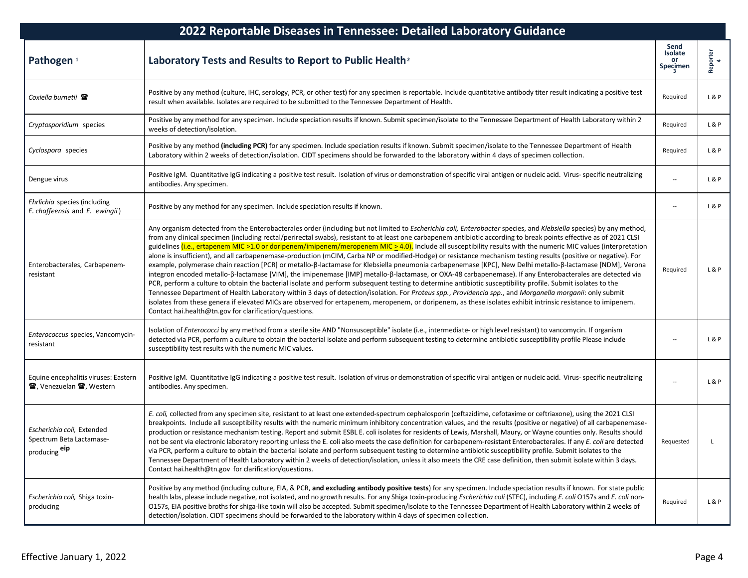| 2022 Reportable Diseases in Tennessee: Detailed Laboratory Guidance     |                                                                                                                                                                                                                                                                                                                                                                                                                                                                                                                                                                                                                                                                                                                                                                                                                                                                                                                                                                                                                                                                                                                                                                                                                                                                                                                                                                                                                                                                                                                                                                                            |                                          |               |
|-------------------------------------------------------------------------|--------------------------------------------------------------------------------------------------------------------------------------------------------------------------------------------------------------------------------------------------------------------------------------------------------------------------------------------------------------------------------------------------------------------------------------------------------------------------------------------------------------------------------------------------------------------------------------------------------------------------------------------------------------------------------------------------------------------------------------------------------------------------------------------------------------------------------------------------------------------------------------------------------------------------------------------------------------------------------------------------------------------------------------------------------------------------------------------------------------------------------------------------------------------------------------------------------------------------------------------------------------------------------------------------------------------------------------------------------------------------------------------------------------------------------------------------------------------------------------------------------------------------------------------------------------------------------------------|------------------------------------------|---------------|
| Pathogen <sup>1</sup>                                                   | Laboratory Tests and Results to Report to Public Health <sup>2</sup>                                                                                                                                                                                                                                                                                                                                                                                                                                                                                                                                                                                                                                                                                                                                                                                                                                                                                                                                                                                                                                                                                                                                                                                                                                                                                                                                                                                                                                                                                                                       | Send<br>Isolate<br><b>or</b><br>Specimen | Reporter<br>4 |
| Coxiella burnetii 雷                                                     | Positive by any method (culture, IHC, serology, PCR, or other test) for any specimen is reportable. Include quantitative antibody titer result indicating a positive test<br>result when available. Isolates are required to be submitted to the Tennessee Department of Health.                                                                                                                                                                                                                                                                                                                                                                                                                                                                                                                                                                                                                                                                                                                                                                                                                                                                                                                                                                                                                                                                                                                                                                                                                                                                                                           | Required                                 | L&P           |
| Cryptosporidium species                                                 | Positive by any method for any specimen. Include speciation results if known. Submit specimen/isolate to the Tennessee Department of Health Laboratory within 2<br>weeks of detection/isolation.                                                                                                                                                                                                                                                                                                                                                                                                                                                                                                                                                                                                                                                                                                                                                                                                                                                                                                                                                                                                                                                                                                                                                                                                                                                                                                                                                                                           | Required                                 | L&P           |
| Cyclospora species                                                      | Positive by any method (including PCR) for any specimen. Include speciation results if known. Submit specimen/isolate to the Tennessee Department of Health<br>Laboratory within 2 weeks of detection/isolation. CIDT specimens should be forwarded to the laboratory within 4 days of specimen collection.                                                                                                                                                                                                                                                                                                                                                                                                                                                                                                                                                                                                                                                                                                                                                                                                                                                                                                                                                                                                                                                                                                                                                                                                                                                                                | Required                                 | L&P           |
| Dengue virus                                                            | Positive IgM. Quantitative IgG indicating a positive test result. Isolation of virus or demonstration of specific viral antigen or nucleic acid. Virus- specific neutralizing<br>antibodies. Any specimen.                                                                                                                                                                                                                                                                                                                                                                                                                                                                                                                                                                                                                                                                                                                                                                                                                                                                                                                                                                                                                                                                                                                                                                                                                                                                                                                                                                                 |                                          | L&P           |
| Ehrlichia species (including<br>E. chaffeensis and E. ewingii)          | Positive by any method for any specimen. Include speciation results if known.                                                                                                                                                                                                                                                                                                                                                                                                                                                                                                                                                                                                                                                                                                                                                                                                                                                                                                                                                                                                                                                                                                                                                                                                                                                                                                                                                                                                                                                                                                              |                                          | L&P           |
| Enterobacterales, Carbapenem-<br>resistant                              | Any organism detected from the Enterobacterales order (including but not limited to Escherichia coli, Enterobacter species, and Klebsiella species) by any method,<br>from any clinical specimen (including rectal/perirectal swabs), resistant to at least one carbapenem antibiotic according to break points effective as of 2021 CLSI<br>guidelines <i>(i.e., ertapenem MIC &gt;1.0 or doripenem/imipenem/meropenem MIC <math>\geq</math> 4.0)</i> . Include all susceptibility results with the numeric MIC values (interpretation<br>alone is insufficient), and all carbapenemase-production (mCIM, Carba NP or modified-Hodge) or resistance mechanism testing results (positive or negative). For<br>example, polymerase chain reaction [PCR] or metallo-β-lactamase for Klebsiella pneumonia carbapenemase [KPC], New Delhi metallo-β-lactamase [NDM], Verona<br>integron encoded metallo-ß-lactamase [VIM], the imipenemase [IMP] metallo-ß-lactamase, or OXA-48 carbapenemase). If any Enterobacterales are detected via<br>PCR, perform a culture to obtain the bacterial isolate and perform subsequent testing to determine antibiotic susceptibility profile. Submit isolates to the<br>Tennessee Department of Health Laboratory within 3 days of detection/isolation. For Proteus spp., Providencia spp., and Morganella morganii: only submit<br>isolates from these genera if elevated MICs are observed for ertapenem, meropenem, or doripenem, as these isolates exhibit intrinsic resistance to imipenem.<br>Contact hai.health@tn.gov for clarification/questions. | Required                                 | L&P           |
| Enterococcus species, Vancomycin-<br>resistant                          | Isolation of Enterococci by any method from a sterile site AND "Nonsusceptible" isolate (i.e., intermediate- or high level resistant) to vancomycin. If organism<br>detected via PCR, perform a culture to obtain the bacterial isolate and perform subsequent testing to determine antibiotic susceptibility profile Please include<br>susceptibility test results with the numeric MIC values.                                                                                                                                                                                                                                                                                                                                                                                                                                                                                                                                                                                                                                                                                                                                                                                                                                                                                                                                                                                                                                                                                                                                                                                           |                                          | L&P           |
| Equine encephalitis viruses: Eastern<br><b>雪, Venezuelan 雷, Western</b> | Positive IgM. Quantitative IgG indicating a positive test result. Isolation of virus or demonstration of specific viral antigen or nucleic acid. Virus- specific neutralizing<br>antibodies. Any specimen.                                                                                                                                                                                                                                                                                                                                                                                                                                                                                                                                                                                                                                                                                                                                                                                                                                                                                                                                                                                                                                                                                                                                                                                                                                                                                                                                                                                 |                                          | L&P           |
| Escherichia coli, Extended<br>Spectrum Beta Lactamase-<br>producing eip | E. coli, collected from any specimen site, resistant to at least one extended-spectrum cephalosporin (ceftazidime, cefotaxime or ceftriaxone), using the 2021 CLSI<br>breakpoints. Include all susceptibility results with the numeric minimum inhibitory concentration values, and the results (positive or negative) of all carbapenemase-<br>production or resistance mechanism testing. Report and submit ESBL E. coli isolates for residents of Lewis, Marshall, Maury, or Wayne counties only. Results should<br>not be sent via electronic laboratory reporting unless the E. coli also meets the case definition for carbapenem-resistant Enterobacterales. If any E. coli are detected<br>via PCR, perform a culture to obtain the bacterial isolate and perform subsequent testing to determine antibiotic susceptibility profile. Submit isolates to the<br>Tennessee Department of Health Laboratory within 2 weeks of detection/isolation, unless it also meets the CRE case definition, then submit isolate within 3 days.<br>Contact hai.health@tn.gov for clarification/questions.                                                                                                                                                                                                                                                                                                                                                                                                                                                                                         | Requested                                |               |
| Escherichia coli, Shiga toxin-<br>producing                             | Positive by any method (including culture, EIA, & PCR, and excluding antibody positive tests) for any specimen. Include speciation results if known. For state public<br>health labs, please include negative, not isolated, and no growth results. For any Shiga toxin-producing Escherichia coli (STEC), including E. coli O157s and E. coli non-<br>O157s, EIA positive broths for shiga-like toxin will also be accepted. Submit specimen/isolate to the Tennessee Department of Health Laboratory within 2 weeks of<br>detection/isolation. CIDT specimens should be forwarded to the laboratory within 4 days of specimen collection.                                                                                                                                                                                                                                                                                                                                                                                                                                                                                                                                                                                                                                                                                                                                                                                                                                                                                                                                                | Required                                 | L&P           |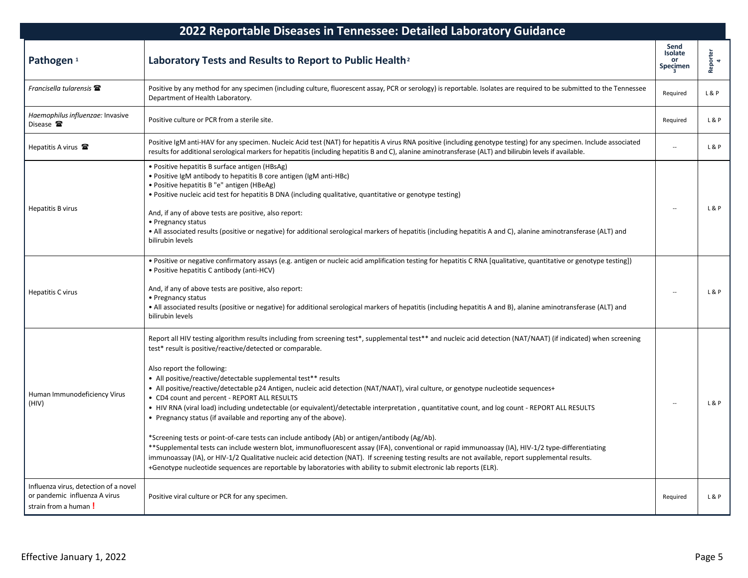| 2022 Reportable Diseases in Tennessee: Detailed Laboratory Guidance                            |                                                                                                                                                                                                                                                                                                                                                                                                                                                                                                                                                                                                                                                                                                                                                                                                                                                                                                                                                                                                                                                                                                                                                                                                                                                                                   |                                   |               |  |
|------------------------------------------------------------------------------------------------|-----------------------------------------------------------------------------------------------------------------------------------------------------------------------------------------------------------------------------------------------------------------------------------------------------------------------------------------------------------------------------------------------------------------------------------------------------------------------------------------------------------------------------------------------------------------------------------------------------------------------------------------------------------------------------------------------------------------------------------------------------------------------------------------------------------------------------------------------------------------------------------------------------------------------------------------------------------------------------------------------------------------------------------------------------------------------------------------------------------------------------------------------------------------------------------------------------------------------------------------------------------------------------------|-----------------------------------|---------------|--|
| Pathogen <sup>1</sup>                                                                          | Laboratory Tests and Results to Report to Public Health <sup>2</sup>                                                                                                                                                                                                                                                                                                                                                                                                                                                                                                                                                                                                                                                                                                                                                                                                                                                                                                                                                                                                                                                                                                                                                                                                              | Send<br>Isolate<br>or<br>Specimen | Reporter<br>4 |  |
| Francisella tularensis $\mathbf{\Xi}$                                                          | Positive by any method for any specimen (including culture, fluorescent assay, PCR or serology) is reportable. Isolates are required to be submitted to the Tennessee<br>Department of Health Laboratory.                                                                                                                                                                                                                                                                                                                                                                                                                                                                                                                                                                                                                                                                                                                                                                                                                                                                                                                                                                                                                                                                         | Required                          | L & P         |  |
| Haemophilus influenzae: Invasive<br>Disease <b>雷</b>                                           | Positive culture or PCR from a sterile site.                                                                                                                                                                                                                                                                                                                                                                                                                                                                                                                                                                                                                                                                                                                                                                                                                                                                                                                                                                                                                                                                                                                                                                                                                                      | Required                          | L&P           |  |
| Hepatitis A virus $\mathbf{\mathcal{F}}$                                                       | Positive IgM anti-HAV for any specimen. Nucleic Acid test (NAT) for hepatitis A virus RNA positive (including genotype testing) for any specimen. Include associated<br>results for additional serological markers for hepatitis (including hepatitis B and C), alanine aminotransferase (ALT) and bilirubin levels if available.                                                                                                                                                                                                                                                                                                                                                                                                                                                                                                                                                                                                                                                                                                                                                                                                                                                                                                                                                 |                                   | L&P           |  |
| <b>Hepatitis B virus</b>                                                                       | • Positive hepatitis B surface antigen (HBsAg)<br>• Positive IgM antibody to hepatitis B core antigen (IgM anti-HBc)<br>• Positive hepatitis B "e" antigen (HBeAg)<br>. Positive nucleic acid test for hepatitis B DNA (including qualitative, quantitative or genotype testing)<br>And, if any of above tests are positive, also report:<br>• Pregnancy status<br>• All associated results (positive or negative) for additional serological markers of hepatitis (including hepatitis A and C), alanine aminotransferase (ALT) and<br>bilirubin levels                                                                                                                                                                                                                                                                                                                                                                                                                                                                                                                                                                                                                                                                                                                          |                                   | L & P         |  |
| <b>Hepatitis C virus</b>                                                                       | · Positive or negative confirmatory assays (e.g. antigen or nucleic acid amplification testing for hepatitis C RNA [qualitative, quantitative or genotype testing])<br>• Positive hepatitis C antibody (anti-HCV)<br>And, if any of above tests are positive, also report:<br>• Pregnancy status<br>. All associated results (positive or negative) for additional serological markers of hepatitis (including hepatitis A and B), alanine aminotransferase (ALT) and<br>bilirubin levels                                                                                                                                                                                                                                                                                                                                                                                                                                                                                                                                                                                                                                                                                                                                                                                         |                                   | L&P           |  |
| Human Immunodeficiency Virus<br>(HIV)                                                          | Report all HIV testing algorithm results including from screening test*, supplemental test** and nucleic acid detection (NAT/NAAT) (if indicated) when screening<br>test* result is positive/reactive/detected or comparable.<br>Also report the following:<br>• All positive/reactive/detectable supplemental test** results<br>• All positive/reactive/detectable p24 Antigen, nucleic acid detection (NAT/NAAT), viral culture, or genotype nucleotide sequences+<br>• CD4 count and percent - REPORT ALL RESULTS<br>• HIV RNA (viral load) including undetectable (or equivalent)/detectable interpretation, quantitative count, and log count - REPORT ALL RESULTS<br>• Pregnancy status (if available and reporting any of the above).<br>*Screening tests or point-of-care tests can include antibody (Ab) or antigen/antibody (Ag/Ab).<br>**Supplemental tests can include western blot, immunofluorescent assay (IFA), conventional or rapid immunoassay (IA), HIV-1/2 type-differentiating<br>immunoassay (IA), or HIV-1/2 Qualitative nucleic acid detection (NAT). If screening testing results are not available, report supplemental results.<br>+Genotype nucleotide sequences are reportable by laboratories with ability to submit electronic lab reports (ELR). |                                   | L & P         |  |
| Influenza virus, detection of a novel<br>or pandemic influenza A virus<br>strain from a human! | Positive viral culture or PCR for any specimen.                                                                                                                                                                                                                                                                                                                                                                                                                                                                                                                                                                                                                                                                                                                                                                                                                                                                                                                                                                                                                                                                                                                                                                                                                                   | Required                          | L&P           |  |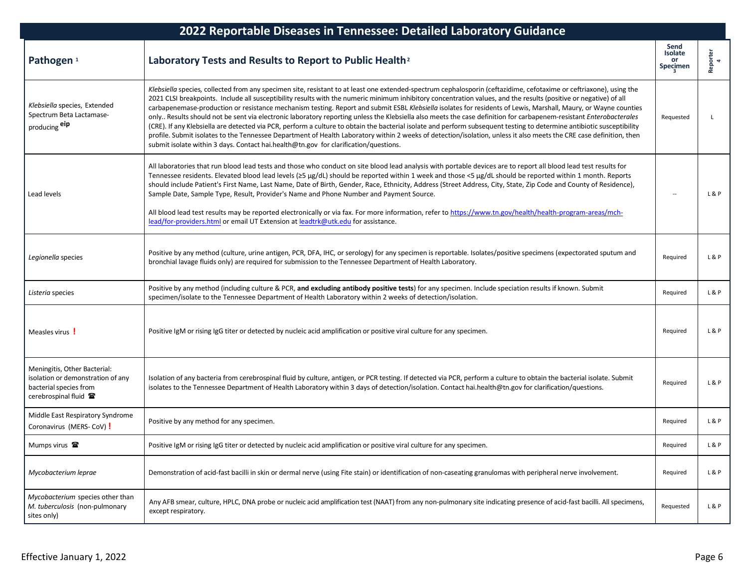| 2022 Reportable Diseases in Tennessee: Detailed Laboratory Guidance                                                  |                                                                                                                                                                                                                                                                                                                                                                                                                                                                                                                                                                                                                                                                                                                                                                                                                                                                                                                                                                                                                                                                                                                            |                                   |               |  |
|----------------------------------------------------------------------------------------------------------------------|----------------------------------------------------------------------------------------------------------------------------------------------------------------------------------------------------------------------------------------------------------------------------------------------------------------------------------------------------------------------------------------------------------------------------------------------------------------------------------------------------------------------------------------------------------------------------------------------------------------------------------------------------------------------------------------------------------------------------------------------------------------------------------------------------------------------------------------------------------------------------------------------------------------------------------------------------------------------------------------------------------------------------------------------------------------------------------------------------------------------------|-----------------------------------|---------------|--|
| Pathogen <sup>1</sup>                                                                                                | Laboratory Tests and Results to Report to Public Health <sup>2</sup>                                                                                                                                                                                                                                                                                                                                                                                                                                                                                                                                                                                                                                                                                                                                                                                                                                                                                                                                                                                                                                                       | Send<br>Isolate<br>or<br>Specimen | Reporter<br>4 |  |
| Klebsiella species, Extended<br>Spectrum Beta Lactamase-<br>producing eip                                            | Klebsiella species, collected from any specimen site, resistant to at least one extended-spectrum cephalosporin (ceftazidime, cefotaxime or ceftriaxone), using the<br>2021 CLSI breakpoints. Include all susceptibility results with the numeric minimum inhibitory concentration values, and the results (positive or negative) of all<br>carbapenemase-production or resistance mechanism testing. Report and submit ESBL Klebsiella isolates for residents of Lewis, Marshall, Maury, or Wayne counties<br>only Results should not be sent via electronic laboratory reporting unless the Klebsiella also meets the case definition for carbapenem-resistant Enterobacterales<br>(CRE). If any Klebsiella are detected via PCR, perform a culture to obtain the bacterial isolate and perform subsequent testing to determine antibiotic susceptibility<br>profile. Submit isolates to the Tennessee Department of Health Laboratory within 2 weeks of detection/isolation, unless it also meets the CRE case definition, then<br>submit isolate within 3 days. Contact hai.health@tn.gov for clarification/questions. | Requested                         |               |  |
| Lead levels                                                                                                          | All laboratories that run blood lead tests and those who conduct on site blood lead analysis with portable devices are to report all blood lead test results for<br>Tennessee residents. Elevated blood lead levels (≥5 µg/dL) should be reported within 1 week and those <5 µg/dL should be reported within 1 month. Reports<br>should include Patient's First Name, Last Name, Date of Birth, Gender, Race, Ethnicity, Address (Street Address, City, State, Zip Code and County of Residence),<br>Sample Date, Sample Type, Result, Provider's Name and Phone Number and Payment Source.<br>All blood lead test results may be reported electronically or via fax. For more information, refer to https://www.tn.gov/health/health-program-areas/mch-<br>lead/for-providers.html or email UT Extension at leadtrk@utk.edu for assistance.                                                                                                                                                                                                                                                                               |                                   | L&P           |  |
| Legionella species                                                                                                   | Positive by any method (culture, urine antigen, PCR, DFA, IHC, or serology) for any specimen is reportable. Isolates/positive specimens (expectorated sputum and<br>bronchial lavage fluids only) are required for submission to the Tennessee Department of Health Laboratory.                                                                                                                                                                                                                                                                                                                                                                                                                                                                                                                                                                                                                                                                                                                                                                                                                                            | Required                          | L&P           |  |
| Listeria species                                                                                                     | Positive by any method (including culture & PCR, and excluding antibody positive tests) for any specimen. Include speciation results if known. Submit<br>specimen/isolate to the Tennessee Department of Health Laboratory within 2 weeks of detection/isolation.                                                                                                                                                                                                                                                                                                                                                                                                                                                                                                                                                                                                                                                                                                                                                                                                                                                          | Required                          | L&P           |  |
| Measles virus !                                                                                                      | Positive IgM or rising IgG titer or detected by nucleic acid amplification or positive viral culture for any specimen.                                                                                                                                                                                                                                                                                                                                                                                                                                                                                                                                                                                                                                                                                                                                                                                                                                                                                                                                                                                                     | Required                          | L&P           |  |
| Meningitis, Other Bacterial:<br>isolation or demonstration of any<br>bacterial species from<br>cerebrospinal fluid 雷 | Isolation of any bacteria from cerebrospinal fluid by culture, antigen, or PCR testing. If detected via PCR, perform a culture to obtain the bacterial isolate. Submit<br>isolates to the Tennessee Department of Health Laboratory within 3 days of detection/isolation. Contact hai.health@tn.gov for clarification/questions.                                                                                                                                                                                                                                                                                                                                                                                                                                                                                                                                                                                                                                                                                                                                                                                           | Required                          | L&P           |  |
| Middle East Respiratory Syndrome<br>Coronavirus (MERS-CoV) !                                                         | Positive by any method for any specimen.                                                                                                                                                                                                                                                                                                                                                                                                                                                                                                                                                                                                                                                                                                                                                                                                                                                                                                                                                                                                                                                                                   | Required                          | L&P           |  |
| Mumps virus <sup>2</sup>                                                                                             | Positive IgM or rising IgG titer or detected by nucleic acid amplification or positive viral culture for any specimen.                                                                                                                                                                                                                                                                                                                                                                                                                                                                                                                                                                                                                                                                                                                                                                                                                                                                                                                                                                                                     | Required                          | L&P           |  |
| Mycobacterium leprae                                                                                                 | Demonstration of acid-fast bacilli in skin or dermal nerve (using Fite stain) or identification of non-caseating granulomas with peripheral nerve involvement.                                                                                                                                                                                                                                                                                                                                                                                                                                                                                                                                                                                                                                                                                                                                                                                                                                                                                                                                                             | Required                          | L&P           |  |
| Mycobacterium species other than<br>M. tuberculosis (non-pulmonary<br>sites only)                                    | Any AFB smear, culture, HPLC, DNA probe or nucleic acid amplification test (NAAT) from any non-pulmonary site indicating presence of acid-fast bacilli. All specimens,<br>except respiratory.                                                                                                                                                                                                                                                                                                                                                                                                                                                                                                                                                                                                                                                                                                                                                                                                                                                                                                                              | Requested                         | L&P           |  |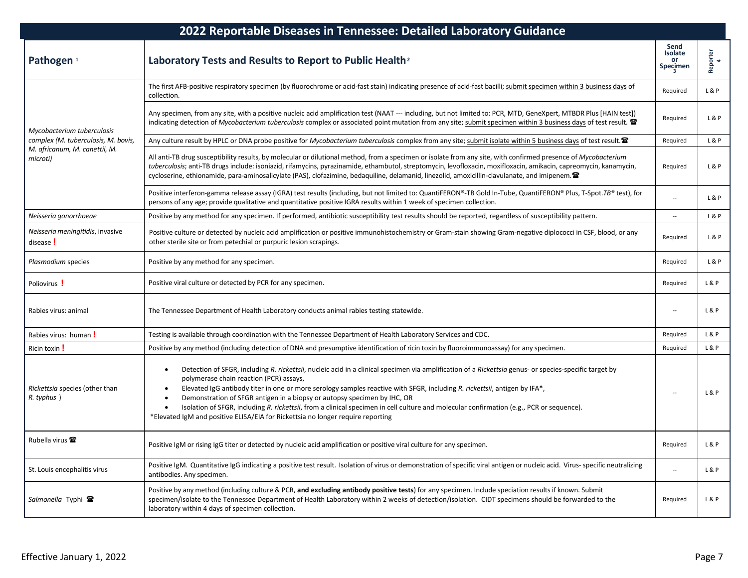| 2022 Reportable Diseases in Tennessee: Detailed Laboratory Guidance |                                                                                                                                                                                                                                                                                                                                                                                                                                                                                                                                                                                                                                                                     |                                          |                |
|---------------------------------------------------------------------|---------------------------------------------------------------------------------------------------------------------------------------------------------------------------------------------------------------------------------------------------------------------------------------------------------------------------------------------------------------------------------------------------------------------------------------------------------------------------------------------------------------------------------------------------------------------------------------------------------------------------------------------------------------------|------------------------------------------|----------------|
| Pathogen <sup>1</sup>                                               | Laboratory Tests and Results to Report to Public Health <sup>2</sup>                                                                                                                                                                                                                                                                                                                                                                                                                                                                                                                                                                                                | Send<br>Isolate<br><b>or</b><br>Specimen | Reporter<br>4  |
| Mycobacterium tuberculosis                                          | The first AFB-positive respiratory specimen (by fluorochrome or acid-fast stain) indicating presence of acid-fast bacilli; submit specimen within 3 business days of<br>collection.                                                                                                                                                                                                                                                                                                                                                                                                                                                                                 | Required                                 | L&P            |
|                                                                     | Any specimen, from any site, with a positive nucleic acid amplification test (NAAT --- including, but not limited to: PCR, MTD, GeneXpert, MTBDR Plus [HAIN test])<br>indicating detection of Mycobacterium tuberculosis complex or associated point mutation from any site; submit specimen within 3 business days of test result.                                                                                                                                                                                                                                                                                                                                 | Required                                 | L&P            |
| complex (M. tuberculosis, M. bovis,                                 | Any culture result by HPLC or DNA probe positive for Mycobacterium tuberculosis complex from any site; submit isolate within 5 business days of test result.                                                                                                                                                                                                                                                                                                                                                                                                                                                                                                        | Required                                 | L&P            |
| M. africanum, M. canettii, M.<br>microti)                           | All anti-TB drug susceptibility results, by molecular or dilutional method, from a specimen or isolate from any site, with confirmed presence of Mycobacterium<br>tuberculosis; anti-TB drugs include: isoniazid, rifamycins, pyrazinamide, ethambutol, streptomycin, levofloxacin, moxifloxacin, amikacin, capreomycin, kanamycin,<br>cycloserine, ethionamide, para-aminosalicylate (PAS), clofazimine, bedaquiline, delamanid, linezolid, amoxicillin-clavulanate, and imipenem. $\mathbf{\mathcal{C}}$                                                                                                                                                          | Required                                 | L&P            |
|                                                                     | Positive interferon-gamma release assay (IGRA) test results (including, but not limited to: QuantiFERON®-TB Gold In-Tube, QuantiFERON® Plus, T-Spot.TB® test), for<br>persons of any age; provide qualitative and quantitative positive IGRA results within 1 week of specimen collection.                                                                                                                                                                                                                                                                                                                                                                          |                                          | L&P            |
| Neisseria gonorrhoeae                                               | Positive by any method for any specimen. If performed, antibiotic susceptibility test results should be reported, regardless of susceptibility pattern.                                                                                                                                                                                                                                                                                                                                                                                                                                                                                                             | $\overline{\phantom{a}}$                 | L & P          |
| Neisseria meningitidis, invasive<br>disease!                        | Positive culture or detected by nucleic acid amplification or positive immunohistochemistry or Gram-stain showing Gram-negative diplococci in CSF, blood, or any<br>other sterile site or from petechial or purpuric lesion scrapings.                                                                                                                                                                                                                                                                                                                                                                                                                              | Required                                 | L&P            |
| Plasmodium species                                                  | Positive by any method for any specimen.                                                                                                                                                                                                                                                                                                                                                                                                                                                                                                                                                                                                                            | Required                                 | L&P            |
| Poliovirus !                                                        | Positive viral culture or detected by PCR for any specimen.                                                                                                                                                                                                                                                                                                                                                                                                                                                                                                                                                                                                         | Required                                 | L&P            |
| Rabies virus: animal                                                | The Tennessee Department of Health Laboratory conducts animal rabies testing statewide.                                                                                                                                                                                                                                                                                                                                                                                                                                                                                                                                                                             |                                          | L&P            |
| Rabies virus: human !                                               | Testing is available through coordination with the Tennessee Department of Health Laboratory Services and CDC.                                                                                                                                                                                                                                                                                                                                                                                                                                                                                                                                                      | Required                                 | L&P            |
| Ricin toxin !                                                       | Positive by any method (including detection of DNA and presumptive identification of ricin toxin by fluoroimmunoassay) for any specimen.                                                                                                                                                                                                                                                                                                                                                                                                                                                                                                                            | Required                                 | <b>L&amp;P</b> |
| Rickettsia species (other than<br>R. typhus)                        | Detection of SFGR, including R. rickettsii, nucleic acid in a clinical specimen via amplification of a Rickettsia genus- or species-specific target by<br>$\bullet$<br>polymerase chain reaction (PCR) assays,<br>Elevated IgG antibody titer in one or more serology samples reactive with SFGR, including R. rickettsii, antigen by IFA*,<br>Demonstration of SFGR antigen in a biopsy or autopsy specimen by IHC, OR<br>Isolation of SFGR, including R. rickettsii, from a clinical specimen in cell culture and molecular confirmation (e.g., PCR or sequence).<br>$\bullet$<br>*Elevated IgM and positive ELISA/EIA for Rickettsia no longer require reporting |                                          | L&P            |
| Rubella virus <b>雷</b>                                              | Positive IgM or rising IgG titer or detected by nucleic acid amplification or positive viral culture for any specimen.                                                                                                                                                                                                                                                                                                                                                                                                                                                                                                                                              | Required                                 | L&P            |
| St. Louis encephalitis virus                                        | Positive IgM. Quantitative IgG indicating a positive test result. Isolation of virus or demonstration of specific viral antigen or nucleic acid. Virus- specific neutralizing<br>antibodies. Any specimen.                                                                                                                                                                                                                                                                                                                                                                                                                                                          |                                          | L&P            |
| Salmonella Typhi <b>雷</b>                                           | Positive by any method (including culture & PCR, and excluding antibody positive tests) for any specimen. Include speciation results if known. Submit<br>specimen/isolate to the Tennessee Department of Health Laboratory within 2 weeks of detection/isolation. CIDT specimens should be forwarded to the<br>laboratory within 4 days of specimen collection.                                                                                                                                                                                                                                                                                                     | Required                                 | L&P            |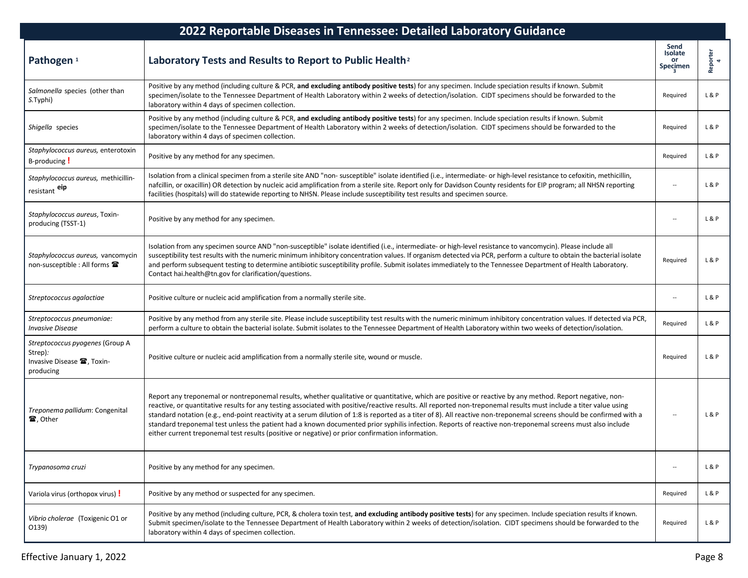| 2022 Reportable Diseases in Tennessee: Detailed Laboratory Guidance                               |                                                                                                                                                                                                                                                                                                                                                                                                                                                                                                                                                                                                                                                                                                                                                                         |                                   |               |  |
|---------------------------------------------------------------------------------------------------|-------------------------------------------------------------------------------------------------------------------------------------------------------------------------------------------------------------------------------------------------------------------------------------------------------------------------------------------------------------------------------------------------------------------------------------------------------------------------------------------------------------------------------------------------------------------------------------------------------------------------------------------------------------------------------------------------------------------------------------------------------------------------|-----------------------------------|---------------|--|
| Pathogen <sup>1</sup>                                                                             | Laboratory Tests and Results to Report to Public Health <sup>2</sup>                                                                                                                                                                                                                                                                                                                                                                                                                                                                                                                                                                                                                                                                                                    | Send<br>Isolate<br>or<br>Specimen | Reporter<br>4 |  |
| Salmonella species (other than<br>S.Typhi)                                                        | Positive by any method (including culture & PCR, and excluding antibody positive tests) for any specimen. Include speciation results if known. Submit<br>specimen/isolate to the Tennessee Department of Health Laboratory within 2 weeks of detection/isolation. CIDT specimens should be forwarded to the<br>laboratory within 4 days of specimen collection.                                                                                                                                                                                                                                                                                                                                                                                                         | Required                          | L&P           |  |
| Shigella species                                                                                  | Positive by any method (including culture & PCR, and excluding antibody positive tests) for any specimen. Include speciation results if known. Submit<br>specimen/isolate to the Tennessee Department of Health Laboratory within 2 weeks of detection/isolation. CIDT specimens should be forwarded to the<br>laboratory within 4 days of specimen collection.                                                                                                                                                                                                                                                                                                                                                                                                         | Required                          | L&P           |  |
| Staphylococcus aureus, enterotoxin<br>B-producing !                                               | Positive by any method for any specimen.                                                                                                                                                                                                                                                                                                                                                                                                                                                                                                                                                                                                                                                                                                                                | Required                          | L&P           |  |
| Staphylococcus aureus, methicillin-<br>resistant eip                                              | Isolation from a clinical specimen from a sterile site AND "non- susceptible" isolate identified (i.e., intermediate- or high-level resistance to cefoxitin, methicillin,<br>nafcillin, or oxacillin) OR detection by nucleic acid amplification from a sterile site. Report only for Davidson County residents for EIP program; all NHSN reporting<br>facilities (hospitals) will do statewide reporting to NHSN. Please include susceptibility test results and specimen source.                                                                                                                                                                                                                                                                                      | $\overline{\phantom{a}}$          | L&P           |  |
| Staphylococcus aureus, Toxin-<br>producing (TSST-1)                                               | Positive by any method for any specimen.                                                                                                                                                                                                                                                                                                                                                                                                                                                                                                                                                                                                                                                                                                                                | $\overline{\phantom{a}}$          | L&P           |  |
| Staphylococcus aureus, vancomycin<br>non-susceptible : All forms <b>雷</b>                         | Isolation from any specimen source AND "non-susceptible" isolate identified (i.e., intermediate- or high-level resistance to vancomycin). Please include all<br>susceptibility test results with the numeric minimum inhibitory concentration values. If organism detected via PCR, perform a culture to obtain the bacterial isolate<br>and perform subsequent testing to determine antibiotic susceptibility profile. Submit isolates immediately to the Tennessee Department of Health Laboratory.<br>Contact hai.health@tn.gov for clarification/questions.                                                                                                                                                                                                         | Required                          | L&P           |  |
| Streptococcus agalactiae                                                                          | Positive culture or nucleic acid amplification from a normally sterile site.                                                                                                                                                                                                                                                                                                                                                                                                                                                                                                                                                                                                                                                                                            | $\overline{\phantom{a}}$          | L & P         |  |
| Streptococcus pneumoniae:<br><b>Invasive Disease</b>                                              | Positive by any method from any sterile site. Please include susceptibility test results with the numeric minimum inhibitory concentration values. If detected via PCR,<br>perform a culture to obtain the bacterial isolate. Submit isolates to the Tennessee Department of Health Laboratory within two weeks of detection/isolation.                                                                                                                                                                                                                                                                                                                                                                                                                                 | Required                          | L&P           |  |
| Streptococcus pyogenes (Group A<br>Strep):<br>Invasive Disease <sup>2</sup> , Toxin-<br>producing | Positive culture or nucleic acid amplification from a normally sterile site, wound or muscle.                                                                                                                                                                                                                                                                                                                                                                                                                                                                                                                                                                                                                                                                           | Required                          | L & P         |  |
| Treponema pallidum: Congenital<br>雷, Other                                                        | Report any treponemal or nontreponemal results, whether qualitative or quantitative, which are positive or reactive by any method. Report negative, non-<br>reactive, or quantitative results for any testing associated with positive/reactive results. All reported non-treponemal results must include a titer value using<br>standard notation (e.g., end-point reactivity at a serum dilution of 1:8 is reported as a titer of 8). All reactive non-treponemal screens should be confirmed with a<br>standard treponemal test unless the patient had a known documented prior syphilis infection. Reports of reactive non-treponemal screens must also include<br>either current treponemal test results (positive or negative) or prior confirmation information. | $\overline{\phantom{a}}$          | L&P           |  |
| Trypanosoma cruzi                                                                                 | Positive by any method for any specimen.                                                                                                                                                                                                                                                                                                                                                                                                                                                                                                                                                                                                                                                                                                                                | $\overline{\phantom{a}}$          | L&P           |  |
| Variola virus (orthopox virus) !                                                                  | Positive by any method or suspected for any specimen.                                                                                                                                                                                                                                                                                                                                                                                                                                                                                                                                                                                                                                                                                                                   | Required                          | L&P           |  |
| Vibrio cholerae (Toxigenic O1 or<br>0139)                                                         | Positive by any method (including culture, PCR, & cholera toxin test, and excluding antibody positive tests) for any specimen. Include speciation results if known.<br>Submit specimen/isolate to the Tennessee Department of Health Laboratory within 2 weeks of detection/isolation. CIDT specimens should be forwarded to the<br>laboratory within 4 days of specimen collection.                                                                                                                                                                                                                                                                                                                                                                                    | Required                          | L&P           |  |